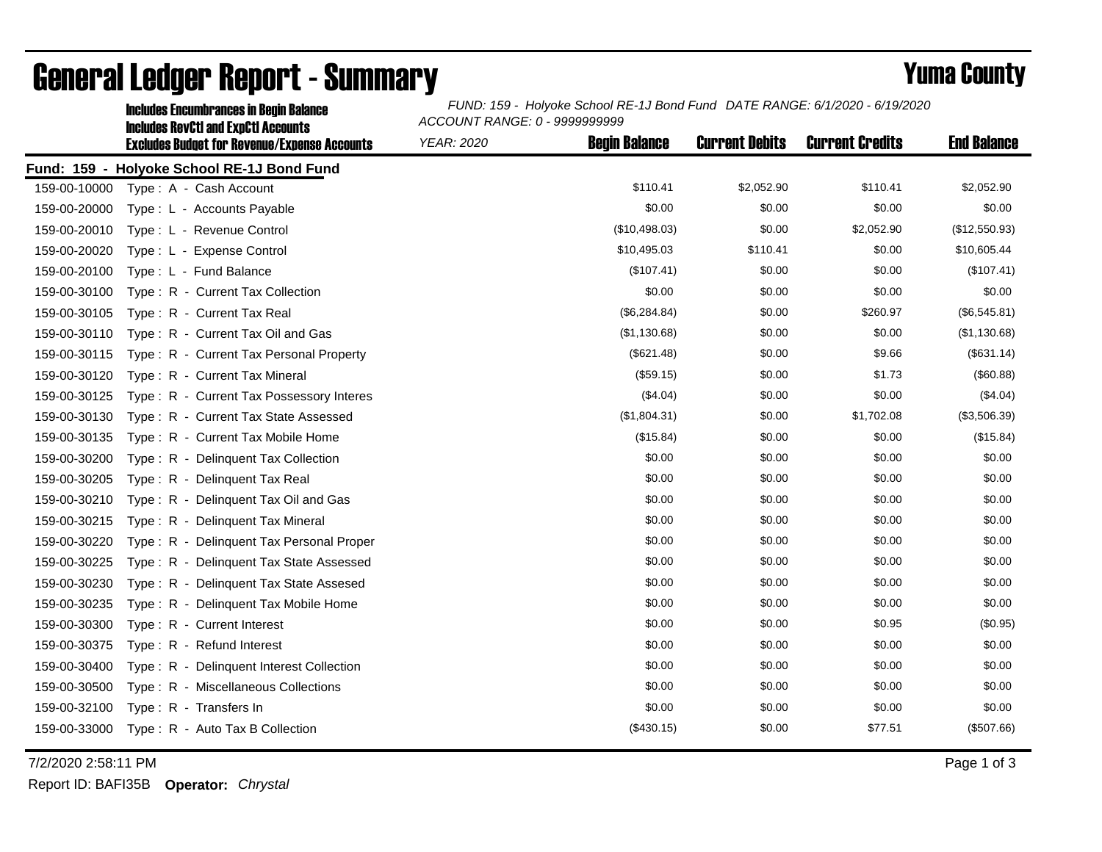|              | <b>Includes Encumbrances in Begin Balance</b>                                                     | FUND: 159 - Holyoke School RE-1J Bond Fund DATE RANGE: 6/1/2020 - 6/19/2020<br>ACCOUNT RANGE: 0 - 9999999999 |                      |                       |                        |                    |  |
|--------------|---------------------------------------------------------------------------------------------------|--------------------------------------------------------------------------------------------------------------|----------------------|-----------------------|------------------------|--------------------|--|
|              | <b>Includes RevCtI and ExpCtI Accounts</b><br><b>Excludes Budget for Revenue/Expense Accounts</b> | <b>YEAR: 2020</b>                                                                                            | <b>Begin Balance</b> | <b>Current Debits</b> | <b>Current Credits</b> | <b>End Balance</b> |  |
|              | Fund: 159 - Holyoke School RE-1J Bond Fund                                                        |                                                                                                              |                      |                       |                        |                    |  |
| 159-00-10000 | Type: A - Cash Account                                                                            |                                                                                                              | \$110.41             | \$2,052.90            | \$110.41               | \$2,052.90         |  |
| 159-00-20000 | Type: L - Accounts Payable                                                                        |                                                                                                              | \$0.00               | \$0.00                | \$0.00                 | \$0.00             |  |
| 159-00-20010 | Type: L - Revenue Control                                                                         |                                                                                                              | (\$10,498.03)        | \$0.00                | \$2,052.90             | (\$12,550.93)      |  |
| 159-00-20020 | Type: L - Expense Control                                                                         |                                                                                                              | \$10,495.03          | \$110.41              | \$0.00                 | \$10,605.44        |  |
| 159-00-20100 | Type: L - Fund Balance                                                                            |                                                                                                              | (\$107.41)           | \$0.00                | \$0.00                 | (\$107.41)         |  |
| 159-00-30100 | Type: R - Current Tax Collection                                                                  |                                                                                                              | \$0.00               | \$0.00                | \$0.00                 | \$0.00             |  |
| 159-00-30105 | Type: R - Current Tax Real                                                                        |                                                                                                              | (\$6,284.84)         | \$0.00                | \$260.97               | (\$6,545.81)       |  |
| 159-00-30110 | Type: R - Current Tax Oil and Gas                                                                 |                                                                                                              | (\$1,130.68)         | \$0.00                | \$0.00                 | (\$1,130.68)       |  |
| 159-00-30115 | Type: R - Current Tax Personal Property                                                           |                                                                                                              | (\$621.48)           | \$0.00                | \$9.66                 | (\$631.14)         |  |
| 159-00-30120 | Type: R - Current Tax Mineral                                                                     |                                                                                                              | (\$59.15)            | \$0.00                | \$1.73                 | (\$60.88)          |  |
| 159-00-30125 | Type: R - Current Tax Possessory Interes                                                          |                                                                                                              | (\$4.04)             | \$0.00                | \$0.00                 | (\$4.04)           |  |
| 159-00-30130 | Type: R - Current Tax State Assessed                                                              |                                                                                                              | (\$1,804.31)         | \$0.00                | \$1,702.08             | (\$3,506.39)       |  |
| 159-00-30135 | Type: R - Current Tax Mobile Home                                                                 |                                                                                                              | (\$15.84)            | \$0.00                | \$0.00                 | (\$15.84)          |  |
| 159-00-30200 | Type: R - Delinquent Tax Collection                                                               |                                                                                                              | \$0.00               | \$0.00                | \$0.00                 | \$0.00             |  |
| 159-00-30205 | Type: R - Delinquent Tax Real                                                                     |                                                                                                              | \$0.00               | \$0.00                | \$0.00                 | \$0.00             |  |
| 159-00-30210 | Type: R - Delinquent Tax Oil and Gas                                                              |                                                                                                              | \$0.00               | \$0.00                | \$0.00                 | \$0.00             |  |
| 159-00-30215 | Type: R - Delinquent Tax Mineral                                                                  |                                                                                                              | \$0.00               | \$0.00                | \$0.00                 | \$0.00             |  |
| 159-00-30220 | Type: R - Delinguent Tax Personal Proper                                                          |                                                                                                              | \$0.00               | \$0.00                | \$0.00                 | \$0.00             |  |
| 159-00-30225 | Type: R - Delinguent Tax State Assessed                                                           |                                                                                                              | \$0.00               | \$0.00                | \$0.00                 | \$0.00             |  |
| 159-00-30230 | Type: R - Delinquent Tax State Assesed                                                            |                                                                                                              | \$0.00               | \$0.00                | \$0.00                 | \$0.00             |  |
| 159-00-30235 | Type: R - Delinquent Tax Mobile Home                                                              |                                                                                                              | \$0.00               | \$0.00                | \$0.00                 | \$0.00             |  |
| 159-00-30300 | Type: R - Current Interest                                                                        |                                                                                                              | \$0.00               | \$0.00                | \$0.95                 | (\$0.95)           |  |
| 159-00-30375 | Type: R - Refund Interest                                                                         |                                                                                                              | \$0.00               | \$0.00                | \$0.00                 | \$0.00             |  |
| 159-00-30400 | Type: R - Delinquent Interest Collection                                                          |                                                                                                              | \$0.00               | \$0.00                | \$0.00                 | \$0.00             |  |
| 159-00-30500 | Type: R - Miscellaneous Collections                                                               |                                                                                                              | \$0.00               | \$0.00                | \$0.00                 | \$0.00             |  |
| 159-00-32100 | Type: R - Transfers In                                                                            |                                                                                                              | \$0.00               | \$0.00                | \$0.00                 | \$0.00             |  |
| 159-00-33000 | Type: R - Auto Tax B Collection                                                                   |                                                                                                              | (\$430.15)           | \$0.00                | \$77.51                | (\$507.66)         |  |

## General Ledger Report - Summary **Example 2018** Yuma County

7/2/2020 2:58:11 PM Page 1 of 3

Report ID: BAFI35B **Operator:** *Chrystal*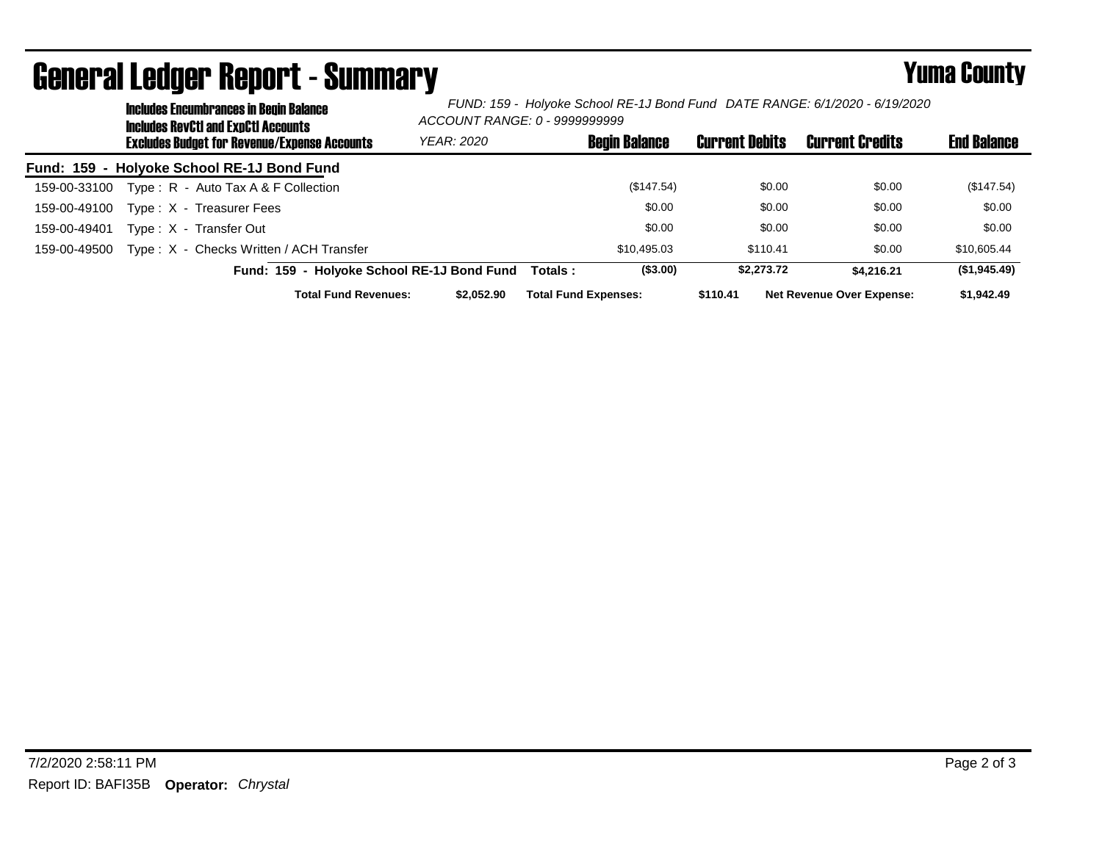|              | <b>Includes Encumbrances in Begin Balance</b><br><b>Includes RevCtI and ExpCtI Accounts</b> |                                                     | FUND: 159 - Holyoke School RE-1J Bond Fund DATE RANGE: 6/1/2020 - 6/19/2020<br>ACCOUNT RANGE: 0 - 9999999999 |                             |                      |                       |                                  |                    |
|--------------|---------------------------------------------------------------------------------------------|-----------------------------------------------------|--------------------------------------------------------------------------------------------------------------|-----------------------------|----------------------|-----------------------|----------------------------------|--------------------|
|              |                                                                                             | <b>Excludes Budget for Revenue/Expense Accounts</b> | YEAR: 2020                                                                                                   |                             | <b>Begin Balance</b> | <b>Current Debits</b> | <b>Current Credits</b>           | <b>End Balance</b> |
|              |                                                                                             | Fund: 159 - Holyoke School RE-1J Bond Fund          |                                                                                                              |                             |                      |                       |                                  |                    |
| 159-00-33100 |                                                                                             | Type: $R -$ Auto Tax A & F Collection               |                                                                                                              |                             | (\$147.54)           | \$0.00                | \$0.00                           | (\$147.54)         |
| 159-00-49100 |                                                                                             | Type: X - Treasurer Fees                            |                                                                                                              |                             | \$0.00               | \$0.00                | \$0.00                           | \$0.00             |
| 159-00-49401 |                                                                                             | Type: X - Transfer Out                              |                                                                                                              |                             | \$0.00               | \$0.00                | \$0.00                           | \$0.00             |
| 159-00-49500 |                                                                                             | Type: X - Checks Written / ACH Transfer             |                                                                                                              |                             | \$10.495.03          | \$110.41              | \$0.00                           | \$10,605.44        |
|              |                                                                                             | Fund: 159 - Holyoke School RE-1J Bond Fund          |                                                                                                              | Totals :                    | (\$3.00)             | \$2,273,72            | \$4.216.21                       | (\$1,945.49)       |
|              |                                                                                             | <b>Total Fund Revenues:</b>                         | \$2,052,90                                                                                                   | <b>Total Fund Expenses:</b> |                      | \$110.41              | <b>Net Revenue Over Expense:</b> | \$1,942.49         |

## General Ledger Report - Summary **Example 2018** Yuma County